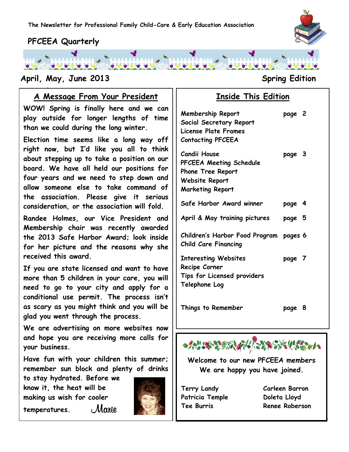

## **PFCEEA Quarterly**

### **April, May, June 2013 Spring Edition**

#### **www.pfceea.com A Message From Your President**

**WOW! Spring is finally here and we can play outside for longer lengths of time than we could during the long winter.** 

**Election time seems like a long way off right now, but I'd like you all to think about stepping up to take a position on our board. We have all held our positions for four years and we need to step down and allow someone else to take command of the association. Please give it serious consideration, or the association will fold.**

**Randee Holmes, our Vice President and Membership chair was recently awarded the 2013 Safe Harbor Award; look inside for her picture and the reasons why she received this award.**

**If you are state licensed and want to have more than 5 children in your care, you will need to go to your city and apply for a conditional use permit. The process isn't as scary as you might think and you will be glad you went through the process.**

**We are advertising on more websites now and hope you are receiving more calls for your business.**

**Have fun with your children this summer; remember sun block and plenty of drinks** 

**to stay hydrated. Before we know it, the heat will be making us wish for cooler** 

temperatures. Mahie



## **Inside This Edition**

| <b>Membership Report</b><br>Social Secretary Report<br><b>License Plate Frames</b><br><b>Contacting PFCEEA</b>   | page 2 |   |
|------------------------------------------------------------------------------------------------------------------|--------|---|
| <b>Candii House</b><br>PFCEEA Meeting Schedule<br>Phone Tree Report<br>Website Report<br><b>Marketing Report</b> | page 3 |   |
| Safe Harbor Award winner                                                                                         | page 4 |   |
| April & May training pictures                                                                                    | page 5 |   |
| Children's Harbor Food Program pages 6<br><b>Child Care Financing</b>                                            |        |   |
| <b>Interesting Websites</b><br>Recipe Corner<br>Tips for Licensed providers<br>Telephone Log                     | page 7 |   |
| Things to Remember                                                                                               | page   | 8 |



**Welcome to our new PFCEEA members We are happy you have joined.**

**Terry Landy Carleen Barron** Patricia Temple **Doleta Lloyd** 

**Tee Burris Renee Roberson**

1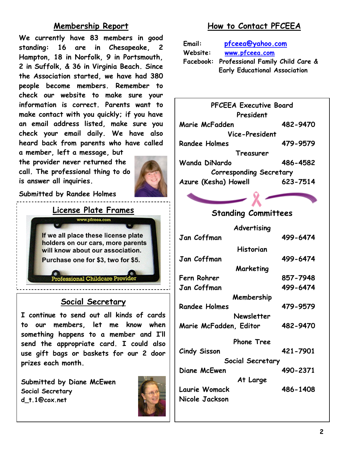## **Membership Report**

**We currently have 83 members in good standing: 16 are in Chesapeake, 2 Hampton, 18 in Norfolk, 9 in Portsmouth, 2 in Suffolk, & 36 in Virginia Beach. Since the Association started, we have had 380 people become members. Remember to check our website to make sure your information is correct. Parents want to make contact with you quickly; if you have an email address listed, make sure you check your email daily. We have also heard back from parents who have called** 

**a member, left a message, but the provider never returned the call. The professional thing to do is answer all inquiries.**



**Submitted by Randee Holmes**



#### **Social Secretary**

**I continue to send out all kinds of cards to our members, let me know when something happens to a member and I'll send the appropriate card. I could also use gift bags or baskets for our 2 door prizes each month.**

**Submitted by Diane McEwen Social Secretary d\_t.1@cox.net**



## **How to Contact PFCEEA**

| Email:                               | pfceea@yahoo.com                           |  |  |
|--------------------------------------|--------------------------------------------|--|--|
| Website:                             | www.pfceea.com                             |  |  |
|                                      | Facebook: Professional Family Child Care & |  |  |
| <b>Early Educational Association</b> |                                            |  |  |

**PFCEEA Executive Board President Marie McFadden 482-9470 Vice-President Randee Holmes 479-9579 Treasurer Wanda DiNardo 486-4582 Corresponding Secretary Azure (Kesha) Howell 623-7514**

### **Standing Committees**

**Advertising Jan Coffman 499-6474 Historian Jan Coffman 499-6474 Marketing Fern Rohrer 857-7948 Jan Coffman 499-6474 Membership Randee Holmes 479-9579 Newsletter Marie McFadden, Editor 482-9470 Phone Tree Cindy Sisson 421-7901 Social Secretary Diane McEwen 490-2371 At Large Laurie Womack 486-1408**

**Nicole Jackson**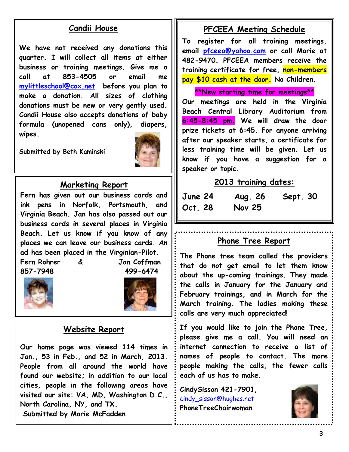### **Candii House**

**We have not received any donations this quarter. I will collect all items at either business or training meetings. Give me a call at 853-4505 or email me [mylittleschool@cox.net](mailto:mylittleschool@cox.net) before you plan to make a donation. All sizes of clothing donations must be new or very gently used. Candii House also accepts donations of baby formula (unopened cans only), diapers, wipes.** 

**Submitted by Beth Kaminski**



#### **Marketing Report**

**Fern has given out our business cards and ink pens in Norfolk, Portsmouth, and Virginia Beach. Jan has also passed out our business cards in several places in Virginia Beach. Let us know if you know of any places we can leave our business cards. An ad has been placed in the Virginian-Pilot.**

**Fern Rohrer & Jan Coffman 857-7948 499-6474**





#### **Website Report**

**Our home page was viewed 114 times in Jan., 53 in Feb., and 52 in March, 2013. People from all around the world have found our website; in addition to our local cities, people in the following areas have visited our site: VA, MD, Washington D.C., North Carolina, NY, and TX. Submitted by Marie McFadden**

#### **PFCEEA Meeting Schedule**

**To register for all training meetings, email [pfceea@yahoo.com](mailto:pfceea@yahoo.com) or call Marie at 482-9470. PFCEEA members receive the training certificate for free, non-members pay \$10 cash at the door. No Children.**

**\*\*New starting time for meetings\*\***

**Our meetings are held in the Virginia Beach Central Library Auditorium from 6:45-8:45 pm. We will draw the door prize tickets at 6:45. For anyone arriving after our speaker starts, a certificate for less training time will be given. Let us know if you have a suggestion for a speaker or topic.**

#### **2013 training dates:**

| June 24 | Aug. 26       | <b>Sept. 30</b> |
|---------|---------------|-----------------|
| Oct. 28 | <b>Nov 25</b> |                 |

#### **Phone Tree Report**

**The Phone tree team called the providers that do not get email to let them know about the up-coming trainings. They made the calls in January for the January and February trainings, and in March for the March training. The ladies making these calls are very much appreciated!**

**If you would like to join the Phone Tree, please give me a call. You will need an internet connection to receive a list of names of people to contact. The more people making the calls, the fewer calls each of us has to make.**

**CindySisson 421-7901,**  [cindy\\_sisson@hughes.net](mailto:cindy_sisson@hughes.net) **PhoneTreeChairwoman**

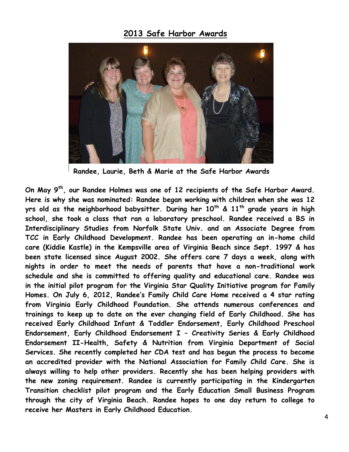#### **2013 Safe Harbor Awards**



**Randee, Laurie, Beth & Marie at the Safe Harbor Awards**

**On May 9th, our Randee Holmes was one of 12 recipients of the Safe Harbor Award. Here is why she was nominated: Randee began working with children when she was 12 yrs old as the neighborhood babysitter. During her 10th & 11th grade years in high school, she took a class that ran a laboratory preschool. Randee received a BS in Interdisciplinary Studies from Norfolk State Univ. and an Associate Degree from TCC in Early Childhood Development. Randee has been operating an in-home child care (Kiddie Kastle) in the Kempsville area of Virginia Beach since Sept. 1997 & has been state licensed since August 2002. She offers care 7 days a week, along with nights in order to meet the needs of parents that have a non-traditional work schedule and she is committed to offering quality and educational care. Randee was in the initial pilot program for the Virginia Star Quality Initiative program for Family Homes. On July 6, 2012, Randee's Family Child Care Home received a 4 star rating from Virginia Early Childhood Foundation. She attends numerous conferences and trainings to keep up to date on the ever changing field of Early Childhood. She has received Early Childhood Infant & Toddler Endorsement, Early Childhood Preschool Endorsement, Early Childhood Endorsement I – Creativity Series & Early Childhood Endorsement II-Health, Safety & Nutrition from Virginia Department of Social Services. She recently completed her CDA test and has begun the process to become an accredited provider with the National Association for Family Child Care. She is always willing to help other providers. Recently she has been helping providers with the new zoning requirement. Randee is currently participating in the Kindergarten Transition checklist pilot program and the Early Education Small Business Program through the city of Virginia Beach. Randee hopes to one day return to college to receive her Masters in Early Childhood Education.**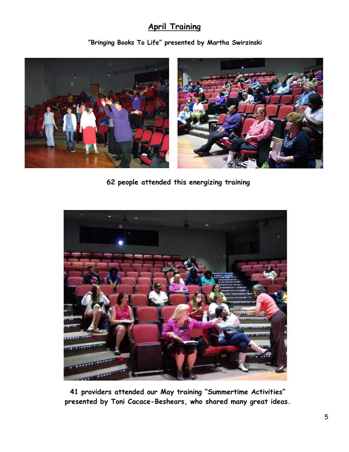## **April Training**

**"Bringing Books To Life" presented by Martha Swirzinski**



**62 people attended this energizing training**



**41 providers attended our May training "Summertime Activities" presented by Toni Cacace-Beshears, who shared many great ideas.**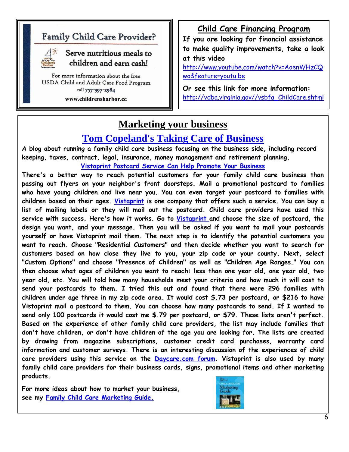## **Family Child Care Provider?**



#### Serve nutritious meals to children and earn cash!

For more information about the free USDA Child and Adult Care Food Program call 757-397-2984

www.childrensharbor.cc

## **Child Care Financing Program**

**If you are looking for financial assistance to make quality improvements, take a look at this video** 

[http://www.youtube.com/watch?v=AoenWHzCQ](http://www.youtube.com/watch?v=AoenWHzCQwo&feature=youtu.be) [wo&feature=youtu.be](http://www.youtube.com/watch?v=AoenWHzCQwo&feature=youtu.be)

**Or see this link for more information:** [http://vdba.virginia.gov//vsbfa\\_ChildCare.shtml](http://vdba.virginia.gov/vsbfa_ChildCare.shtml)

## **Marketing your business**

## **[Tom Copeland's Taking Care of Business](http://www.tomcopelandblog.com/)**

**A blog about running a family child care business focusing on the business side, including record keeping, taxes, contract, legal, insurance, money management and retirement planning. [Vistaprint Postcard Service Can Help Promote Your Business](http://www.tomcopelandblog.com/2013/05/vistaprint-postcard-service-can-help-promote-your-business.html)**

**There's a better way to reach potential customers for your family child care business than passing out flyers on your neighbor's front doorsteps. Mail a promotional postcard to families who have young children and live near you. You can even target your postcard to families with children based on their ages. [Vistaprint](http://www.vistaprint.com/) is one company that offers such a service. You can buy a list of mailing labels or they will mail out the postcard. Child care providers have used this service with success. Here's how it works. Go to [Vistaprint a](http://www.vistaprint.com/mailing-services.aspx)nd choose the size of postcard, the design you want, and your message. Then you will be asked if you want to mail your postcards yourself or have Vistaprint mail them. The next step is to identify the potential customers you want to reach. Choose "Residential Customers" and then decide whether you want to search for customers based on how close they live to you, your zip code or your county. Next, select "Custom Options" and choose "Presence of Children" as well as "Children Age Ranges." You can then choose what ages of children you want to reach: less than one year old, one year old, two year old, etc. You will told how many households meet your criteria and how much it will cost to send your postcards to them. I tried this out and found that there were 296 families with children under age three in my zip code area. It would cost \$.73 per postcard, or \$216 to have Vistaprint mail a postcard to them. You can choose how many postcards to send. If I wanted to send only 100 postcards it would cost me \$.79 per postcard, or \$79. These lists aren't perfect. Based on the experience of other family child care providers, the list may include families that don't have children, or don't have children of the age you are looking for. The lists are created by drawing from magazine subscriptions, customer credit card purchases, warranty card information and customer surveys. There is an interesting discussion of the experiences of child care providers using this service on the [Daycare.com forum.](http://www.daycare.com/forum/showthread.php?t=62393) Vistaprint is also used by many family child care providers for their business cards, signs, promotional items and other marketing products.**

**For more ideas about how to market your business, see my [Family Child Care Marketing Guide.](http://www.tomcopelandblog.com/family-child-care-marketing-guide.html)**

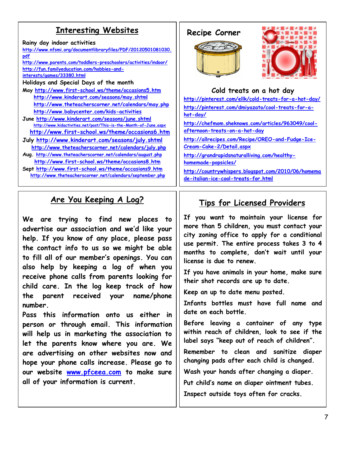## **Enteresting Websites** | Recipe Corner

**Rainy day indoor activities [http://www.nfsmi.org/documentlibraryfiles/PDF/20120501081030.](http://www.nfsmi.org/documentlibraryfiles/PDF/20120501081030.pdf) [pdf](http://www.nfsmi.org/documentlibraryfiles/PDF/20120501081030.pdf) <http://www.parents.com/toddlers-preschoolers/activities/indoor/> [http://fun.familyeducation.com/hobbies-and](http://fun.familyeducation.com/hobbies-and-interests/games/33380.html)[interests/games/33380.html](http://fun.familyeducation.com/hobbies-and-interests/games/33380.html) Holidays and Special Days of the month May<http://www.first-school.ws/theme/occasions5.htm> <http://www.kinderart.com/seasons/may.shtml> <http://www.theteacherscorner.net/calendars/may.php> <http://www.babycenter.com/kids-activities> June<http://www.kinderart.com/seasons/june.shtml> <http://www.kidactivities.net/post/This-is-the-Month-of-June.aspx> <http://www.first-school.ws/theme/occasions6.htm> July<http://www.kinderart.com/seasons/july.shtml> <http://www.theteacherscorner.net/calendars/july.php> Aug. <http://www.theteacherscorner.net/calendars/august.php> <http://www.first-school.ws/theme/occasions8.htm> Sept<http://www.first-school.ws/theme/occasions9.htm> <http://www.theteacherscorner.net/calendars/september.php>**

## **Are You Keeping A Log?**

 **We are trying to find new places to advertise our association and we'd like your help. If you know of any place, please pass the contact info to us so we might be able to fill all of our member's openings. You can also help by keeping a log of when you receive phone calls from parents looking for child care. In the log keep track of how the parent received your name/phone number.** 

**Pass this information onto us either in person or through email. This information will help us in marketing the association to let the parents know where you are. We are advertising on other websites now and hope your phone calls increase. Please go to our website [www.pfceea.com](http://www.pfceea.com/) to make sure all of your information is current.**





#### **Cold treats on a hot day**

**<http://pinterest.com/ellk/cold-treats-for-a-hot-day/> [http://pinterest.com/dmiyazato/cool-treats-for-a](http://pinterest.com/dmiyazato/cool-treats-for-a-hot-day/)[hot-day/](http://pinterest.com/dmiyazato/cool-treats-for-a-hot-day/) [http://chefmom.sheknows.com/articles/963049/cool-](http://chefmom.sheknows.com/articles/963049/cool-afternoon-treats-on-a-hot-day)**

**[afternoon-treats-on-a-hot-day](http://chefmom.sheknows.com/articles/963049/cool-afternoon-treats-on-a-hot-day)**

**[http://allrecipes.com/Recipe/OREO-and-Fudge-Ice-](http://allrecipes.com/Recipe/OREO-and-Fudge-Ice-Cream-Cake-2/Detail.aspx)[Cream-Cake-2/Detail.aspx](http://allrecipes.com/Recipe/OREO-and-Fudge-Ice-Cream-Cake-2/Detail.aspx)**

**[http://grandrapidsnaturalliving.com/healthy](http://grandrapidsnaturalliving.com/healthy-homemade-popsicles/)[homemade-popsicles/](http://grandrapidsnaturalliving.com/healthy-homemade-popsicles/)**

**[http://countrywhispers.blogspot.com/2010/06/homema](http://countrywhispers.blogspot.com/2010/06/homemade-italian-ice-cool-treats-for.html) [de-italian-ice-cool-treats-for.html](http://countrywhispers.blogspot.com/2010/06/homemade-italian-ice-cool-treats-for.html)**

## **Tips for Licensed Providers**

**If you want to maintain your license for more than 5 children, you must contact your city zoning office to apply for a conditional use permit. The entire process takes 3 to 4 months to complete, don't wait until your license is due to renew.**

**If you have animals in your home, make sure their shot records are up to date.**

**Keep an up to date menu posted.**

**Infants bottles must have full name and date on each bottle.**

**Before leaving a container of any type within reach of children, look to see if the label says "keep out of reach of children".**

**Remember to clean and sanitize diaper changing pads after each child is changed.**

**Wash your hands after changing a diaper.**

**Put child's name on diaper ointment tubes.** 

**Inspect outside toys often for cracks.**